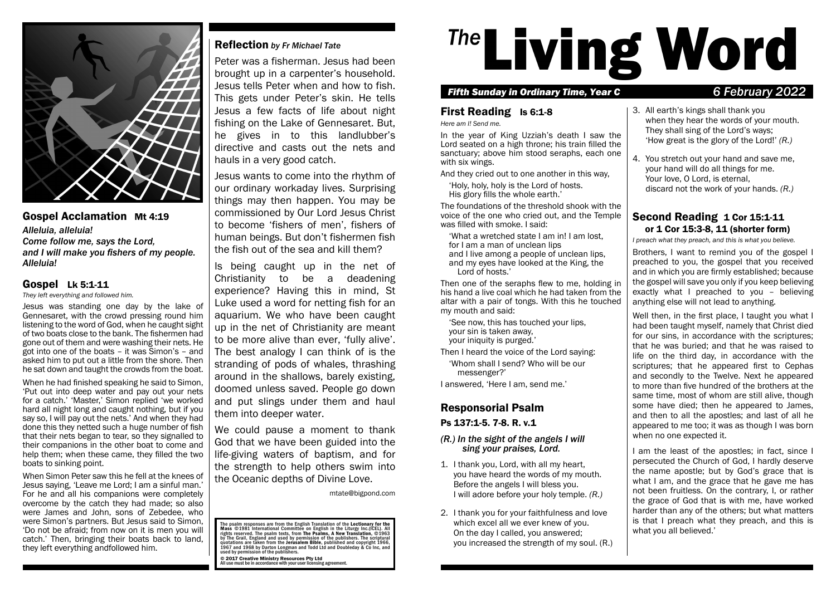

### Gospel Acclamation Mt 4:19 *Alleluia, alleluia! Come follow me, says the Lord, and I will make you fishers of my people. Alleluia!*

### Gospel Lk 5:1-11

*They left everything and followed him.*

Jesus was standing one day by the lake of Gennesaret, with the crowd pressing round him listening to the word of God, when he caught sight of two boats close to the bank. The fishermen had gone out of them and were washing their nets. He got into one of the boats – it was Simon's – and asked him to put out a little from the shore. Then he sat down and taught the crowds from the boat.

When he had finished speaking he said to Simon, 'Put out into deep water and pay out your nets for a catch.' 'Master,' Simon replied 'we worked hard all night long and caught nothing, but if you say so, I will pay out the nets.' And when they had done this they netted such a huge number of fish that their nets began to tear, so they signalled to their companions in the other boat to come and help them; when these came, they filled the two boats to sinking point.

When Simon Peter saw this he fell at the knees of Jesus saying, 'Leave me Lord; I am a sinful man.' For he and all his companions were completely overcome by the catch they had made; so also were James and John, sons of Zebedee, who were Simon's partners. But Jesus said to Simon, 'Do not be afraid; from now on it is men you will catch.' Then, bringing their boats back to land, they left everything andfollowed him.

# Reflection *by Fr Michael Tate*

Peter was a fisherman. Jesus had been brought up in a carpenter's household. Jesus tells Peter when and how to fish. This gets under Peter's skin. He tells Jesus a few facts of life about night fishing on the Lake of Gennesaret. But, he gives in to this landlubber's directive and casts out the nets and hauls in a very good catch.

Jesus wants to come into the rhythm of our ordinary workaday lives. Surprising things may then happen. You may be commissioned by Our Lord Jesus Christ to become 'fishers of men', fishers of human beings. But don't fishermen fish the fish out of the sea and kill them?

Is being caught up in the net of Christianity to be a deadening experience? Having this in mind, St Luke used a word for netting fish for an aquarium. We who have been caught up in the net of Christianity are meant to be more alive than ever, 'fully alive'. The best analogy I can think of is the stranding of pods of whales, thrashing around in the shallows, barely existing, doomed unless saved. People go down and put slings under them and haul them into deeper water.

We could pause a moment to thank God that we have been guided into the life-giving waters of baptism, and for the strength to help others swim into the Oceanic depths of Divine Love.

mtate@bigpond.com

The psalm responses are from the English Translation of the Lectionary for the<br>Mass ©1981 International Committee on English in the Liturgy Inc.(ICEL). All rights reserved. The psalm texts, from The Psalms, A New Translation, ©1963<br>by The Grail, England and used by permission of the publishers. The scriptural<br>quotations are taken from the Jerusalem Bible, published and copyri

© 2017 Creative Ministry Resources Pty Ltd All use must be in accordance with your user licensing agreement.

# <sup>The</sup>Living Word

#### *Fifth Sunday in Ordinary Time, Year C 6 February 2022*

# First Reading Is 6:1-8

*Here am I! Send me.*

In the year of King Uzziah's death I saw the Lord seated on a high throne; his train filled the sanctuary; above him stood seraphs, each one with six wings.

And they cried out to one another in this way,

'Holy, holy, holy is the Lord of hosts.

His glory fills the whole earth.'

The foundations of the threshold shook with the voice of the one who cried out, and the Temple was filled with smoke. I said:

'What a wretched state I am in! I am lost, for I am a man of unclean lips

and I live among a people of unclean lips, and my eyes have looked at the King, the Lord of hosts.'

Then one of the seraphs flew to me, holding in his hand a live coal which he had taken from the altar with a pair of tongs. With this he touched my mouth and said:

'See now, this has touched your lips, your sin is taken away, your iniquity is purged.'

Then I heard the voice of the Lord saying: 'Whom shall I send? Who will be our messenger?'

I answered, 'Here I am, send me.'

# Responsorial Psalm

Ps 137:1-5. 7-8. R. v.1

#### *(R.) In the sight of the angels I will sing your praises, Lord.*

- 1. I thank you, Lord, with all my heart, you have heard the words of my mouth. Before the angels I will bless you. I will adore before your holy temple. *(R.)*
- 2. I thank you for your faithfulness and love which excel all we ever knew of you. On the day I called, you answered; you increased the strength of my soul. (R.)
- 3. All earth's kings shall thank you when they hear the words of your mouth. They shall sing of the Lord's ways; 'How great is the glory of the Lord!' *(R.)*
- 4. You stretch out your hand and save me, your hand will do all things for me. Your love, O Lord, is eternal. discard not the work of your hands. *(R.)*

# Second Reading 1 Cor 15:1-11 or 1 Cor 15:3-8, 11 (shorter form)

*I preach what they preach, and this is what you believe.*

Brothers, I want to remind you of the gospel I preached to you, the gospel that you received and in which you are firmly established; because the gospel will save you only if you keep believing exactly what I preached to you – believing anything else will not lead to anything.

Well then, in the first place, I taught you what I had been taught myself, namely that Christ died for our sins, in accordance with the scriptures; that he was buried; and that he was raised to life on the third day, in accordance with the scriptures; that he appeared first to Cephas and secondly to the Twelve. Next he appeared to more than five hundred of the brothers at the same time, most of whom are still alive, though some have died; then he appeared to James, and then to all the apostles; and last of all he appeared to me too; it was as though I was born when no one expected it.

I am the least of the apostles; in fact, since I persecuted the Church of God, I hardly deserve the name apostle; but by God's grace that is what I am, and the grace that he gave me has not been fruitless. On the contrary, I, or rather the grace of God that is with me, have worked harder than any of the others; but what matters is that I preach what they preach, and this is what you all believed.'